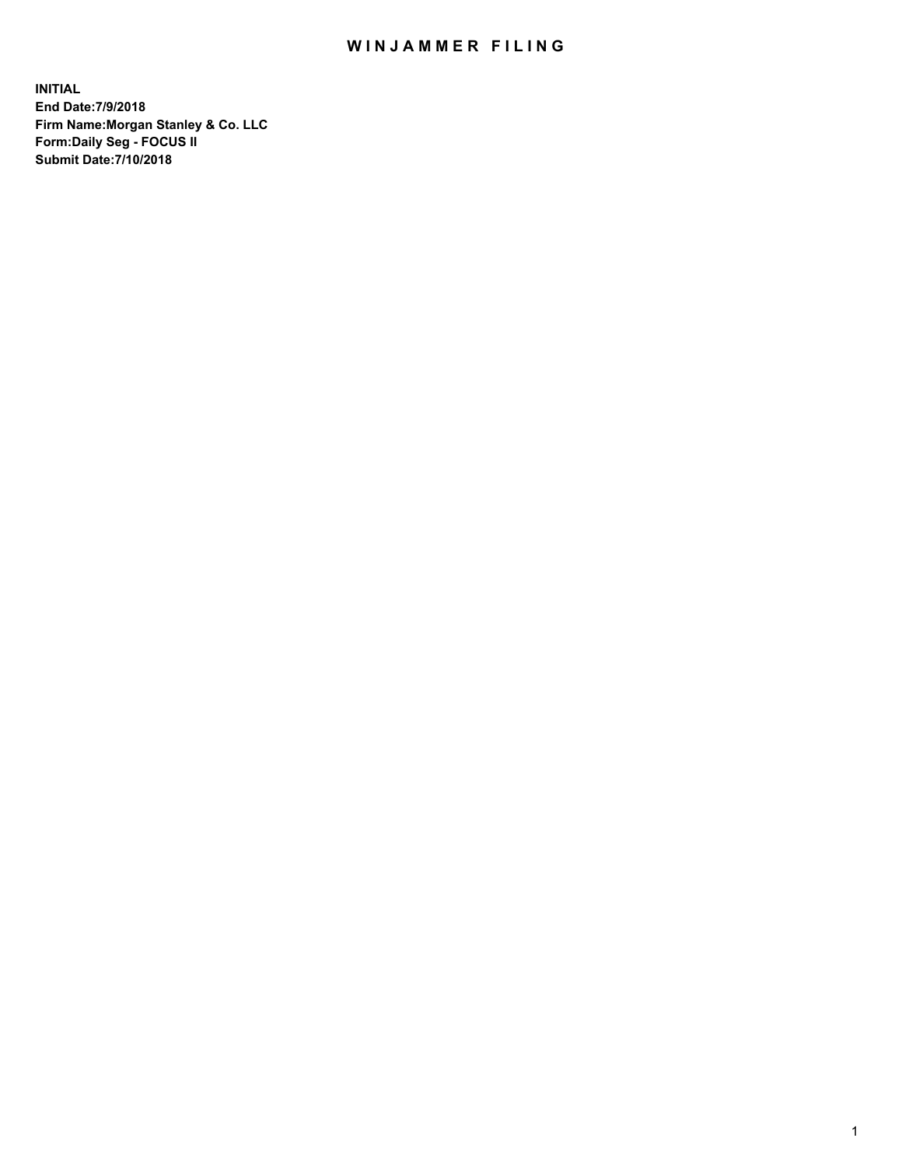## WIN JAMMER FILING

**INITIAL End Date:7/9/2018 Firm Name:Morgan Stanley & Co. LLC Form:Daily Seg - FOCUS II Submit Date:7/10/2018**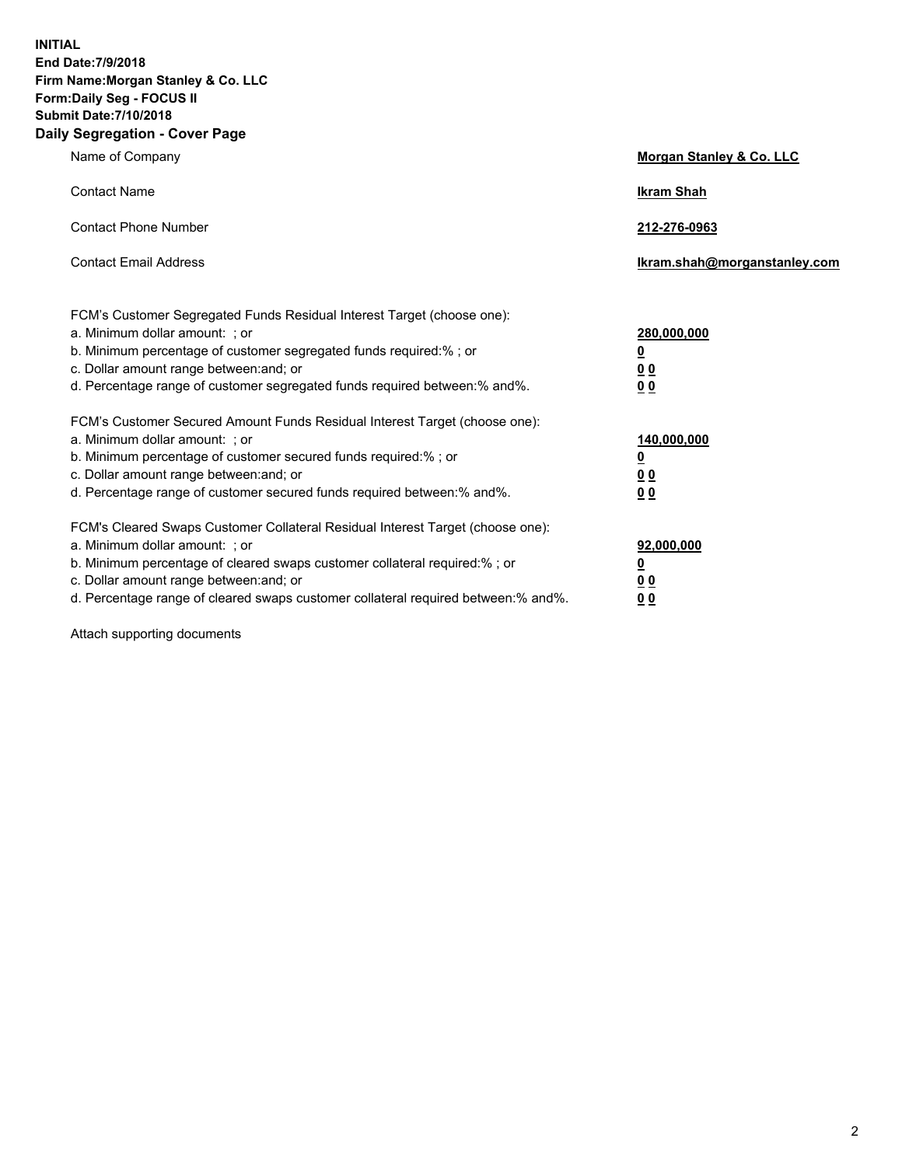**INITIAL End Date:7/9/2018 Firm Name:Morgan Stanley & Co. LLC Form:Daily Seg - FOCUS II Submit Date:7/10/2018 Daily Segregation - Cover Page**

| Name of Company                                                                                                                                                                                                                                                                                                                | <b>Morgan Stanley &amp; Co. LLC</b>                    |
|--------------------------------------------------------------------------------------------------------------------------------------------------------------------------------------------------------------------------------------------------------------------------------------------------------------------------------|--------------------------------------------------------|
| <b>Contact Name</b>                                                                                                                                                                                                                                                                                                            | <b>Ikram Shah</b>                                      |
| <b>Contact Phone Number</b>                                                                                                                                                                                                                                                                                                    | 212-276-0963                                           |
| <b>Contact Email Address</b>                                                                                                                                                                                                                                                                                                   | Ikram.shah@morganstanley.com                           |
| FCM's Customer Segregated Funds Residual Interest Target (choose one):<br>a. Minimum dollar amount: ; or<br>b. Minimum percentage of customer segregated funds required:%; or<br>c. Dollar amount range between: and; or<br>d. Percentage range of customer segregated funds required between:% and%.                          | 280,000,000<br><u>0</u><br>0 Q<br>0 Q                  |
| FCM's Customer Secured Amount Funds Residual Interest Target (choose one):<br>a. Minimum dollar amount: ; or<br>b. Minimum percentage of customer secured funds required:%; or<br>c. Dollar amount range between: and; or<br>d. Percentage range of customer secured funds required between:% and%.                            | 140,000,000<br><u>0</u><br><u>00</u><br>0 <sup>0</sup> |
| FCM's Cleared Swaps Customer Collateral Residual Interest Target (choose one):<br>a. Minimum dollar amount: ; or<br>b. Minimum percentage of cleared swaps customer collateral required:% ; or<br>c. Dollar amount range between: and; or<br>d. Percentage range of cleared swaps customer collateral required between:% and%. | 92,000,000<br><u>0</u><br><u>00</u><br>0 Q             |

Attach supporting documents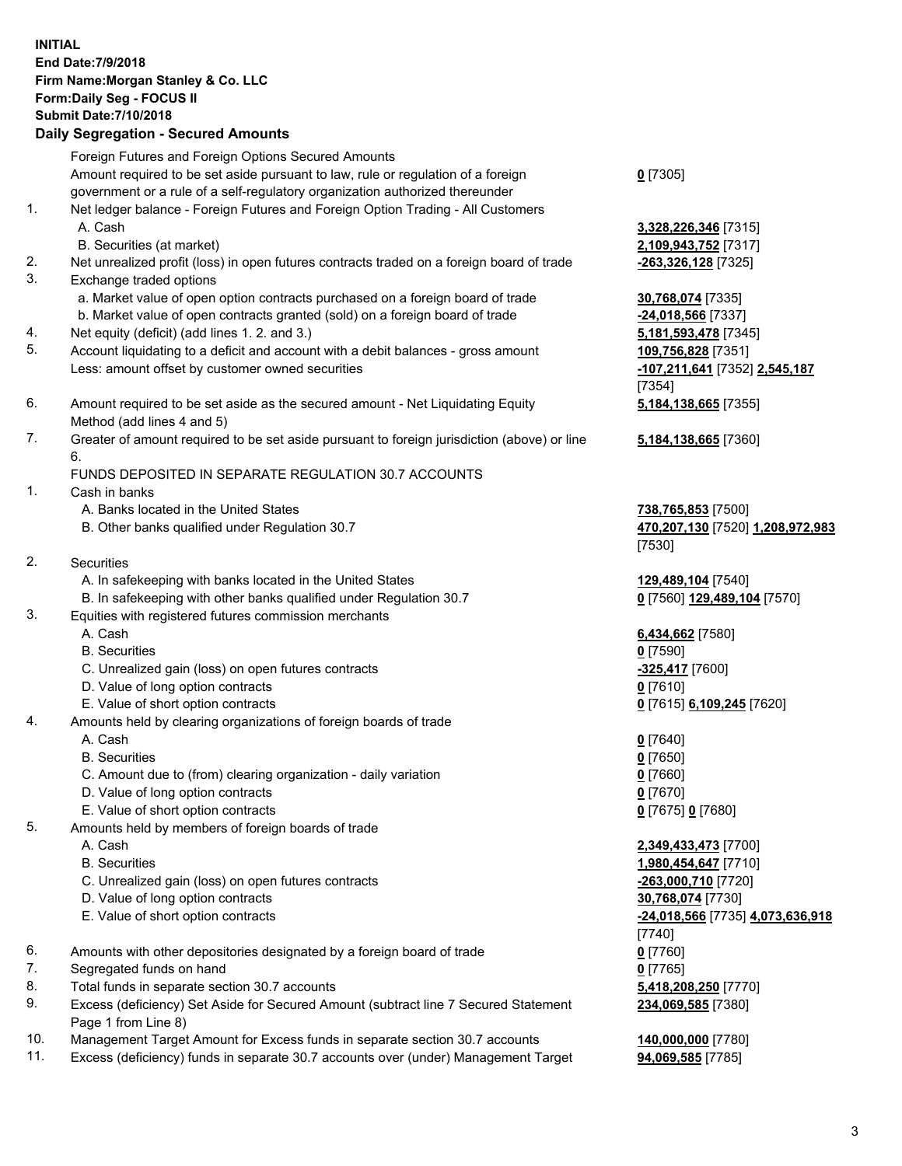## **INITIAL End Date:7/9/2018 Firm Name:Morgan Stanley & Co. LLC Form:Daily Seg - FOCUS II Submit Date:7/10/2018 Daily Segregation - Secured Amounts** Foreign Futures and Foreign Options Secured Amounts Amount required to be set aside pursuant to law, rule or regulation of a foreign government or a rule of a self-regulatory organization authorized thereunder 1. Net ledger balance - Foreign Futures and Foreign Option Trading - All Customers A. Cash **3,328,226,346** [7315] B. Securities (at market) **2,109,943,752** [7317] 2. Net unrealized profit (loss) in open futures contracts traded on a foreign board of trade **-263,326,128** [7325] 3. Exchange traded options a. Market value of open option contracts purchased on a foreign board of trade **30,768,074** [7335] b. Market value of open contracts granted (sold) on a foreign board of trade **-24,018,566** [7337] 4. Net equity (deficit) (add lines 1. 2. and 3.) **5,181,593,478** [7345] 5. Account liquidating to a deficit and account with a debit balances - gross amount **109,756,828** [7351] Less: amount offset by customer owned securities **-107,211,641** [7352] **2,545,187** 6. Amount required to be set aside as the secured amount - Net Liquidating Equity Method (add lines 4 and 5) 7. Greater of amount required to be set aside pursuant to foreign jurisdiction (above) or line 6. FUNDS DEPOSITED IN SEPARATE REGULATION 30.7 ACCOUNTS 1. Cash in banks A. Banks located in the United States **738,765,853** [7500] B. Other banks qualified under Regulation 30.7 **470,207,130** [7520] **1,208,972,983** 2. Securities A. In safekeeping with banks located in the United States **129,489,104** [7540] B. In safekeeping with other banks qualified under Regulation 30.7 **0** [7560] **129,489,104** [7570] 3. Equities with registered futures commission merchants A. Cash **6,434,662** [7580] B. Securities **0** [7590] C. Unrealized gain (loss) on open futures contracts **-325,417** [7600] D. Value of long option contracts **0** [7610] E. Value of short option contracts **0** [7615] **6,109,245** [7620] 4. Amounts held by clearing organizations of foreign boards of trade A. Cash **0** [7640] B. Securities **0** [7650] C. Amount due to (from) clearing organization - daily variation **0** [7660] D. Value of long option contracts **0** [7670] E. Value of short option contracts **0** [7675] **0** [7680] 5. Amounts held by members of foreign boards of trade A. Cash **2,349,433,473** [7700] B. Securities **1,980,454,647** [7710] C. Unrealized gain (loss) on open futures contracts **-263,000,710** [7720] D. Value of long option contracts **30,768,074** [7730] E. Value of short option contracts **-24,018,566** [7735] **4,073,636,918**

- 6. Amounts with other depositories designated by a foreign board of trade **0** [7760]
- 7. Segregated funds on hand **0** [7765]
- 8. Total funds in separate section 30.7 accounts **5,418,208,250** [7770]
- 9. Excess (deficiency) Set Aside for Secured Amount (subtract line 7 Secured Statement Page 1 from Line 8)
- 10. Management Target Amount for Excess funds in separate section 30.7 accounts **140,000,000** [7780]
- 11. Excess (deficiency) funds in separate 30.7 accounts over (under) Management Target **94,069,585** [7785]

**0** [7305]

[7354] **5,184,138,665** [7355]

**5,184,138,665** [7360]

[7530]

[7740] **234,069,585** [7380]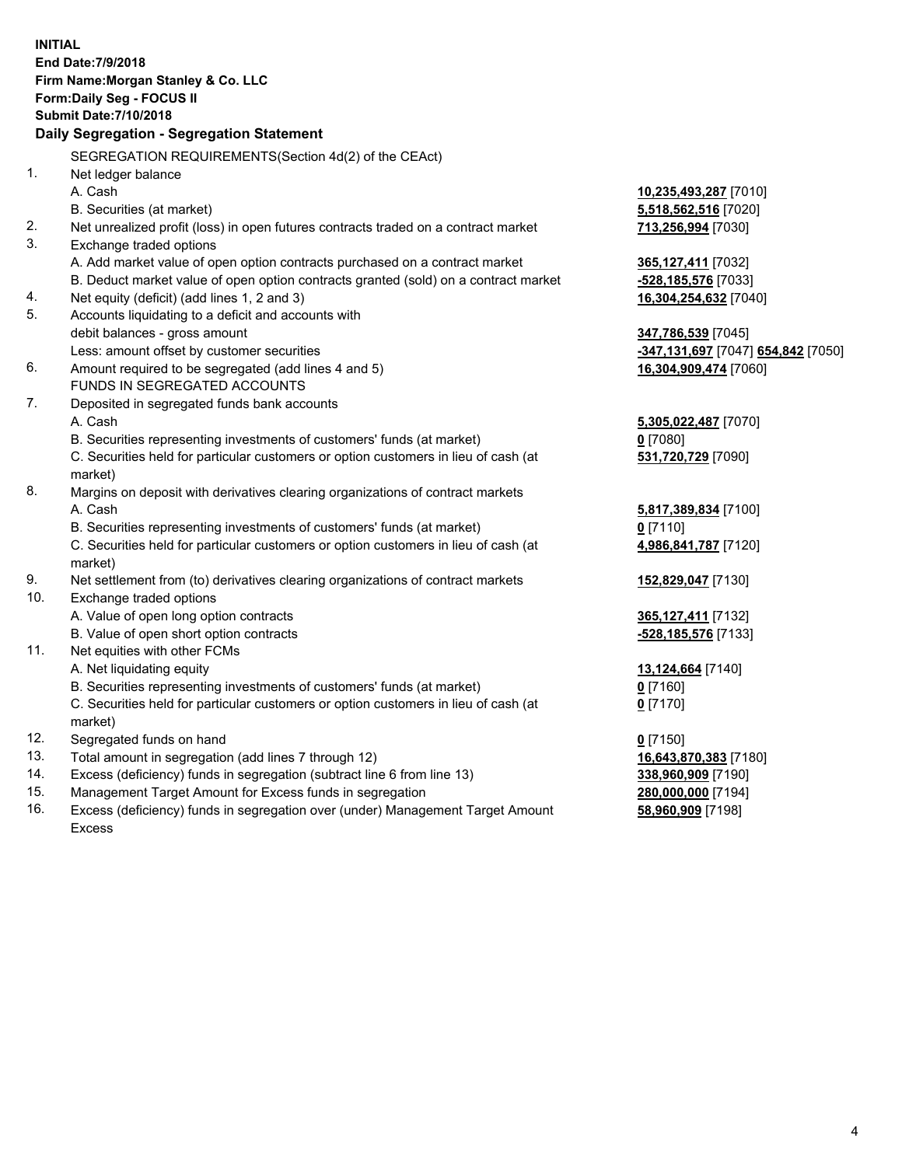| <b>INITIAL</b>                  | End Date: 7/9/2018<br>Firm Name: Morgan Stanley & Co. LLC<br>Form: Daily Seg - FOCUS II<br><b>Submit Date: 7/10/2018</b><br>Daily Segregation - Segregation Statement                                                                                                                                                |                                                                                                      |
|---------------------------------|----------------------------------------------------------------------------------------------------------------------------------------------------------------------------------------------------------------------------------------------------------------------------------------------------------------------|------------------------------------------------------------------------------------------------------|
|                                 | SEGREGATION REQUIREMENTS(Section 4d(2) of the CEAct)                                                                                                                                                                                                                                                                 |                                                                                                      |
| 1.                              | Net ledger balance<br>A. Cash<br>B. Securities (at market)                                                                                                                                                                                                                                                           | 10,235,493,287 [7010]<br>5,518,562,516 [7020]                                                        |
| 2.<br>3.                        | Net unrealized profit (loss) in open futures contracts traded on a contract market<br>Exchange traded options                                                                                                                                                                                                        | 713,256,994 [7030]                                                                                   |
| 4.<br>5.                        | A. Add market value of open option contracts purchased on a contract market<br>B. Deduct market value of open option contracts granted (sold) on a contract market<br>Net equity (deficit) (add lines 1, 2 and 3)<br>Accounts liquidating to a deficit and accounts with                                             | 365,127,411 [7032]<br>-528,185,576 [7033]<br>16,304,254,632 [7040]                                   |
|                                 | debit balances - gross amount<br>Less: amount offset by customer securities                                                                                                                                                                                                                                          | 347,786,539 [7045]<br><mark>-347,131,697</mark> [7047] <mark>654,842</mark> [7050]                   |
| 6.                              | Amount required to be segregated (add lines 4 and 5)<br>FUNDS IN SEGREGATED ACCOUNTS                                                                                                                                                                                                                                 | 16,304,909,474 [7060]                                                                                |
| 7.                              | Deposited in segregated funds bank accounts<br>A. Cash<br>B. Securities representing investments of customers' funds (at market)<br>C. Securities held for particular customers or option customers in lieu of cash (at<br>market)                                                                                   | 5,305,022,487 [7070]<br>$0$ [7080]<br>531,720,729 [7090]                                             |
| 8.                              | Margins on deposit with derivatives clearing organizations of contract markets<br>A. Cash<br>B. Securities representing investments of customers' funds (at market)<br>C. Securities held for particular customers or option customers in lieu of cash (at<br>market)                                                | 5,817,389,834 [7100]<br>$0$ [7110]<br>4,986,841,787 [7120]                                           |
| 9.<br>10.                       | Net settlement from (to) derivatives clearing organizations of contract markets<br>Exchange traded options<br>A. Value of open long option contracts<br>B. Value of open short option contracts                                                                                                                      | 152,829,047 [7130]<br>365,127,411 [7132]<br>-528,185,576 [7133]                                      |
| 11.                             | Net equities with other FCMs<br>A. Net liquidating equity<br>B. Securities representing investments of customers' funds (at market)<br>C. Securities held for particular customers or option customers in lieu of cash (at                                                                                           | 13,124,664 [7140]<br>$0$ [7160]<br>$0$ [7170]                                                        |
| 12.<br>13.<br>14.<br>15.<br>16. | market)<br>Segregated funds on hand<br>Total amount in segregation (add lines 7 through 12)<br>Excess (deficiency) funds in segregation (subtract line 6 from line 13)<br>Management Target Amount for Excess funds in segregation<br>Excess (deficiency) funds in segregation over (under) Management Target Amount | $0$ [7150]<br>16,643,870,383 [7180]<br>338,960,909 [7190]<br>280,000,000 [7194]<br>58,960,909 [7198] |

Excess